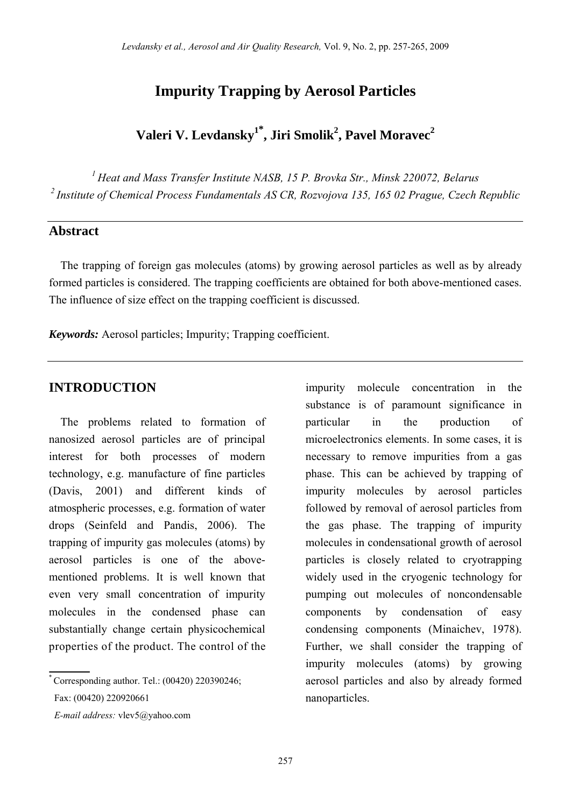## **Impurity Trapping by Aerosol Particles**

# **Valeri V. Levdansky1\* , Jiri Smolik2 , Pavel Moravec2**

*<sup>1</sup> Heat and Mass Transfer Institute NASB, 15 P. Brovka Str., Minsk 220072, Belarus <sup>2</sup> Institute of Chemical Process Fundamentals AS CR, Rozvojova 135, 165 02 Prague, Czech Republic* 

#### **Abstract**

The trapping of foreign gas molecules (atoms) by growing aerosol particles as well as by already formed particles is considered. The trapping coefficients are obtained for both above-mentioned cases. The influence of size effect on the trapping coefficient is discussed.

*Keywords:* Aerosol particles; Impurity; Trapping coefficient.

The problems related to formation of nanosized aerosol particles are of principal interest for both processes of modern technology, e.g. manufacture of fine particles (Davis, 2001) and different kinds of atmospheric processes, e.g. formation of water drops (Seinfeld and Pandis, 2006). The trapping of impurity gas molecules (atoms) by aerosol particles is one of the abovementioned problems. It is well known that even very small concentration of impurity molecules in the condensed phase can substantially change certain physicochemical properties of the product. The control of the

 $*$  Corresponding author. Tel.:  $(00420)$  220390246; Fax: (00420) 220920661

**INTRODUCTION** impurity molecule concentration in the substance is of paramount significance in particular in the production of microelectronics elements. In some cases, it is necessary to remove impurities from a gas phase. This can be achieved by trapping of impurity molecules by aerosol particles followed by removal of aerosol particles from the gas phase. The trapping of impurity molecules in condensational growth of aerosol particles is closely related to cryotrapping widely used in the cryogenic technology for pumping out molecules of noncondensable components by condensation of easy condensing components (Minaichev, 1978). Further, we shall consider the trapping of impurity molecules (atoms) by growing aerosol particles and also by already formed nanoparticles.

*E-mail address:* vlev5@yahoo.com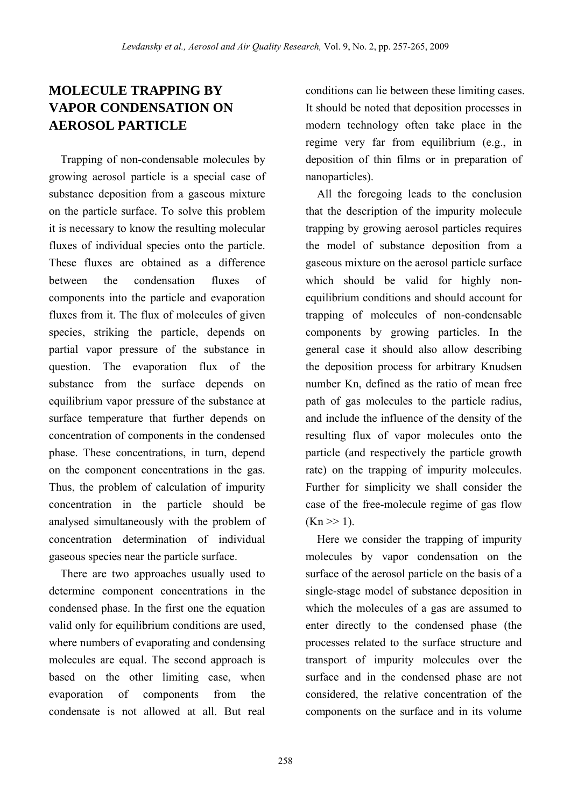## **MOLECULE TRAPPING BY VAPOR CONDENSATION ON AEROSOL PARTICLE**

Trapping of non-condensable molecules by growing aerosol particle is a special case of substance deposition from a gaseous mixture on the particle surface. To solve this problem it is necessary to know the resulting molecular fluxes of individual species onto the particle. These fluxes are obtained as a difference between the condensation fluxes of components into the particle and evaporation fluxes from it. The flux of molecules of given species, striking the particle, depends on partial vapor pressure of the substance in question. The evaporation flux of the substance from the surface depends on equilibrium vapor pressure of the substance at surface temperature that further depends on concentration of components in the condensed phase. These concentrations, in turn, depend on the component concentrations in the gas. Thus, the problem of calculation of impurity concentration in the particle should be analysed simultaneously with the problem of concentration determination of individual gaseous species near the particle surface.

There are two approaches usually used to determine component concentrations in the condensed phase. In the first one the equation valid only for equilibrium conditions are used, where numbers of evaporating and condensing molecules are equal. The second approach is based on the other limiting case, when evaporation of components from the condensate is not allowed at all. But real

conditions can lie between these limiting cases. It should be noted that deposition processes in modern technology often take place in the regime very far from equilibrium (e.g., in deposition of thin films or in preparation of nanoparticles).

All the foregoing leads to the conclusion that the description of the impurity molecule trapping by growing aerosol particles requires the model of substance deposition from a gaseous mixture on the aerosol particle surface which should be valid for highly nonequilibrium conditions and should account for trapping of molecules of non-condensable components by growing particles. In the general case it should also allow describing the deposition process for arbitrary Knudsen number Kn, defined as the ratio of mean free path of gas molecules to the particle radius, and include the influence of the density of the resulting flux of vapor molecules onto the particle (and respectively the particle growth rate) on the trapping of impurity molecules. Further for simplicity we shall consider the case of the free-molecule regime of gas flow  $(Kn \gg 1)$ .

Here we consider the trapping of impurity molecules by vapor condensation on the surface of the aerosol particle on the basis of a single-stage model of substance deposition in which the molecules of a gas are assumed to enter directly to the condensed phase (the processes related to the surface structure and transport of impurity molecules over the surface and in the condensed phase are not considered, the relative concentration of the components on the surface and in its volume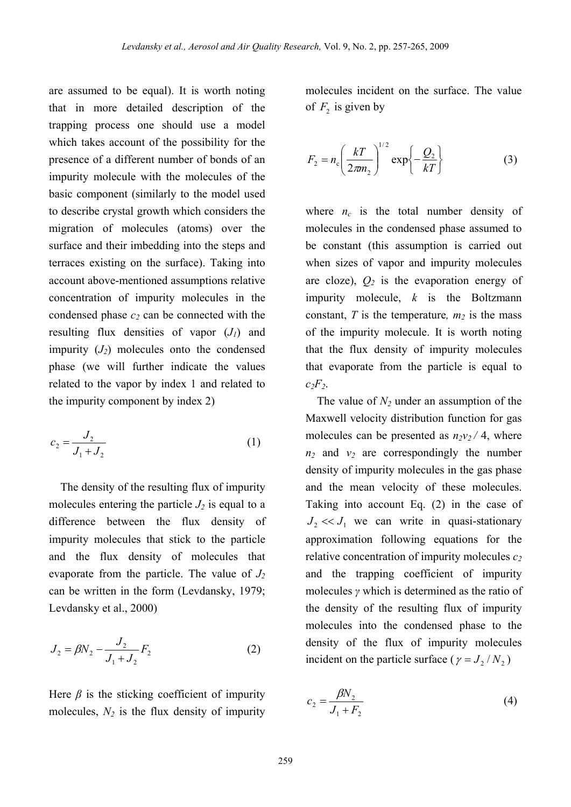are assumed to be equal). It is worth noting that in more detailed description of the trapping process one should use a model which takes account of the possibility for the presence of a different number of bonds of an impurity molecule with the molecules of the basic component (similarly to the model used to describe crystal growth which considers the migration of molecules (atoms) over the surface and their imbedding into the steps and terraces existing on the surface). Taking into account above-mentioned assumptions relative concentration of impurity molecules in the condensed phase  $c_2$  can be connected with the resulting flux densities of vapor  $(J_1)$  and impurity  $(J_2)$  molecules onto the condensed phase (we will further indicate the values related to the vapor by index 1 and related to the impurity component by index 2)

$$
c_2 = \frac{J_2}{J_1 + J_2} \tag{1}
$$

The density of the resulting flux of impurity molecules entering the particle  $J_2$  is equal to a difference between the flux density of impurity molecules that stick to the particle and the flux density of molecules that evaporate from the particle. The value of  $J_2$ can be written in the form (Levdansky, 1979; Levdansky et al., 2000)

$$
J_2 = \beta N_2 - \frac{J_2}{J_1 + J_2} F_2
$$
 (2)

Here  $\beta$  is the sticking coefficient of impurity molecules,  $N_2$  is the flux density of impurity molecules incident on the surface. The value of  $F_2$  is given by

$$
F_2 = n_c \left(\frac{kT}{2\pi m_2}\right)^{1/2} \exp\left\{-\frac{Q_2}{kT}\right\} \tag{3}
$$

where  $n_c$  is the total number density of molecules in the condensed phase assumed to be constant (this assumption is carried out when sizes of vapor and impurity molecules are cloze),  $Q_2$  is the evaporation energy of impurity molecule, *k* is the Boltzmann constant,  $T$  is the temperature,  $m_2$  is the mass of the impurity molecule. It is worth noting that the flux density of impurity molecules that evaporate from the particle is equal to  $c_2F_2$ .

The value of  $N_2$  under an assumption of the Maxwell velocity distribution function for gas molecules can be presented as  $n_2v_2/4$ , where  $n_2$  and  $v_2$  are correspondingly the number density of impurity molecules in the gas phase and the mean velocity of these molecules. Taking into account Eq. (2) in the case of  $J_2 \ll J_1$  we can write in quasi-stationary approximation following equations for the relative concentration of impurity molecules  $c_2$ and the trapping coefficient of impurity molecules *γ* which is determined as the ratio of the density of the resulting flux of impurity molecules into the condensed phase to the density of the flux of impurity molecules incident on the particle surface ( $\gamma = J_2/N_2$ )

$$
c_2 = \frac{\beta N_2}{J_1 + F_2}
$$
 (4)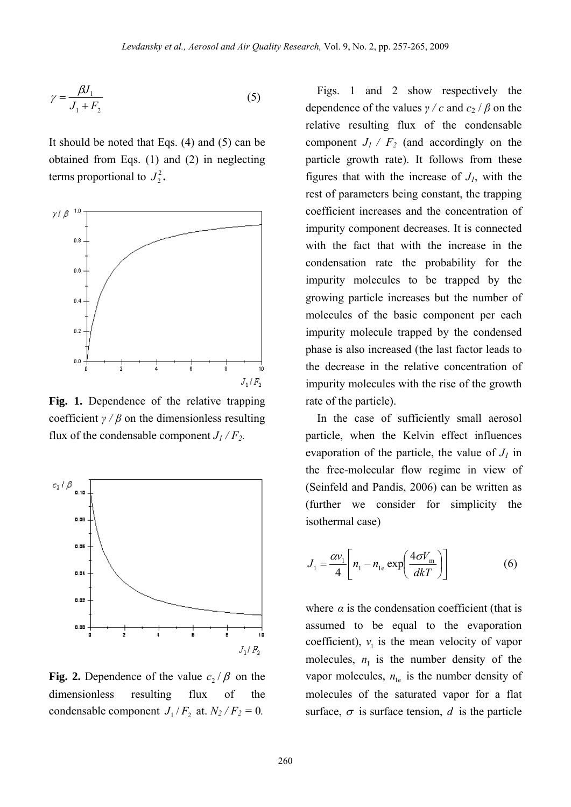$$
\gamma = \frac{\beta J_1}{J_1 + F_2} \tag{5}
$$

It should be noted that Eqs. (4) and (5) can be obtained from Eqs. (1) and (2) in neglecting terms proportional to  $J_2^2$ .



**Fig. 1.** Dependence of the relative trapping coefficient  $\gamma$  /  $\beta$  on the dimensionless resulting flux of the condensable component  $J_1/F_2$ .



**Fig. 2.** Dependence of the value  $c_2/\beta$  on the condensable component  $J_1 / F_2$  at.  $N_2 / F_2 = 0$ . dimensionless resulting flux of the

Figs. 1 and 2 show respectively the relative resulting flux of the condensable component  $J_1 / F_2$  (and accordingly on the dependence of the values  $\gamma / c$  and  $c_2 / \beta$  on the particle growth rate). It follows from these figures that with the increase of  $J<sub>l</sub>$ , with the rest of parameters being constant, the trapping coefficient increases and the concentration of impurity component decreases. It is connected with the fact that with the increase in the condensation rate the probability for the impurity molecules to be trapped by the growing particle increases but the number of molecules of the basic component per each impurity molecule trapped by the condensed phase is also increased (the last factor leads to the decrease in the relative concentration of impurity molecules with the rise of the growth rate of the particle).

evaporation of the particle, the value of  $J_1$  in th e free-molecular flow regime in view of In the case of sufficiently small aerosol particle, when the Kelvin effect influences (Seinfeld and Pandis, 2006) can be written as (further we consider for simplicity the isothermal case)

$$
J_1 = \frac{\alpha v_1}{4} \left[ n_1 - n_{1e} \exp\left(\frac{4\sigma V_m}{dkT}\right) \right]
$$
 (6)

where  $\alpha$  is the condensation coefficient (that is assumed to be equal to the evaporation coefficient),  $v_1$  is the mean velocity of vapor molecules,  $n_1$  is the number density of the vapor molecules,  $n_{1e}$  is the number density of molecules of the saturated vapor for a flat surface,  $\sigma$  is surface tension, d is the particle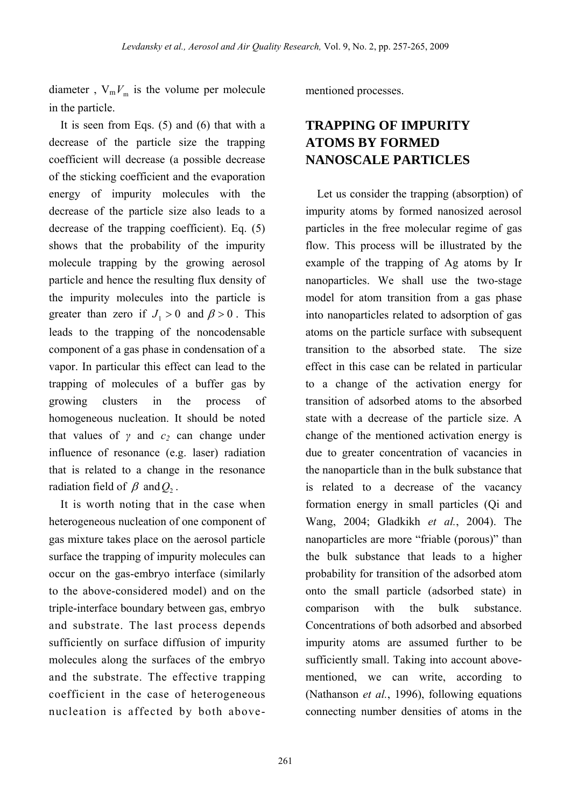diameter,  $V_m V_m$  is the volume per molecule in the particle.

It is seen from Eqs.  $(5)$  and  $(6)$  that with a decrease of the particle size the trapping coefficient will decrease (a possible decrease of the sticking coefficient and the evaporation en ergy of impurity molecules with the decrease of the particle size also leads to a decrease of the trapping coefficient). Eq. (5) shows that the probability of the impurity molecule trapping by the growing aerosol particle and hence the resulting flux density of the impurity molecules into the particle is greater than zero if  $J_1 > 0$  and  $\beta > 0$ . This leads to the trapping of the noncodensable component of a gas phase in condensation of a vapor. In particular this effect can lead to the trapping of molecules of a buffer gas by growing clusters in the process of homogeneous nucleation. It should be noted that values of  $\gamma$  and  $c_2$  can change under influence of resonance (e.g. laser) radiation that is related to a change in the resonance radiation field of  $\beta$  and  $Q_2$ .

It is worth noting that in the case when heterogeneous nucleation of one component of gas mixture takes place on the aerosol particle surface the trapping of impurity molecules can oc cur on the gas-embryo interface (similarly to the above-considered model) and on the triple-interface boundary between gas, embryo and substrate. The last process depends sufficiently on surface diffusion of impurity molecules along the surfaces of the embryo and the substrate. The effective trapping coefficient in the case of heterogeneous nucleation is affected by both abovementioned processes.

## **NANOSCALE PARTICLES TRAPPING OF IMPURITY ATOMS BY FORMED**

Let us consider the trapping (absorption) of impurity atoms by formed nanosized aerosol particles in the free molecular regime of gas flow. This process will be illustrated by the ex ample of the trapping of Ag atoms by Ir nanoparticles. We shall use the two-stage model for atom transition from a gas phase into nanoparticles related to adsorption of gas atoms on the particle surface with subsequent transition to the absorbed state. The size effect in this case can be related in particular to a change of the activation energy for transition of adsorbed atoms to the absorbed state with a decrease of the particle size. A change of the mentioned activation energy is due to greater concentration of vacancies in the nanoparticle than in the bulk substance that is related to a decrease of the vacancy formation energy in small particles (Qi and Wang, 2004; Gladkikh *et al.*, 2004). The nanoparticles are more "friable (porous)" than the bulk substance that leads to a higher probability for transition of the adsorbed atom onto the small particle (adsorbed state) in comparison with the bulk substance. Concentrations of both adsorbed and absorbed impurity atoms are assumed further to be sufficiently small. Taking into account abovementioned, we can write, according to (Nathanson *et al.*, 1996), following equations connecting number densities of atoms in the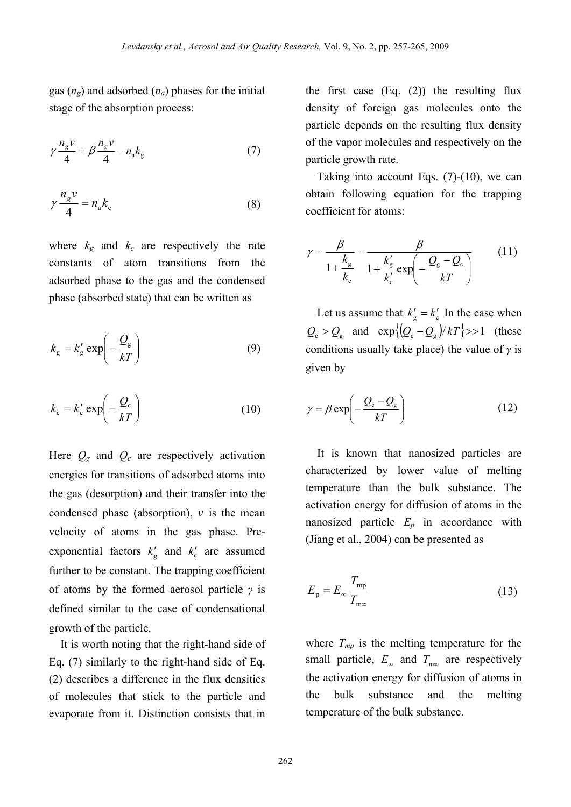gas  $(n_e)$  and adsorbed  $(n_a)$  phases for the initial stage of the absorption process:

$$
\gamma \frac{n_g v}{4} = \beta \frac{n_g v}{4} - n_a k_g \tag{7}
$$

$$
\gamma \frac{n_g v}{4} = n_a k_c \tag{8}
$$

where  $k_{g}$  and  $k_{c}$  are respectively the rate constants of atom transitions from the adsorbed pha se to the gas and the condensed phase (absorbed state) that can be written as

$$
k_{\rm g} = k'_{\rm g} \exp\left(-\frac{Q_{\rm g}}{kT}\right) \tag{9}
$$

$$
k_{\rm c} = k_{\rm c}' \exp\left(-\frac{Q_{\rm c}}{kT}\right) \tag{10}
$$

Here  $Q_g$  and  $Q_c$  are respectively activation energies for transiti ons of adsorbed atoms into the gas (desorption) and their transfer into the condensed phase (absorption),  $\nu$  is the mean velocity of atoms in the gas phase. Preexponential factors  $k'_{\rm g}$  and  $k'_{\rm c}$  are assumed further to be constant. The trapping coefficient of atoms by the formed aerosol particle *γ* is defined similar to the case of condensational growth of the particle.

of molecules that stick to the particle and evaporate from it. Distinction consists that in It is worth noting that the right-hand side of Eq. (7) similarly to the right-hand side of Eq. (2) describes a difference in the flux densities

th e first case (Eq. (2)) the resulting flux density of foreign gas molecules onto the particle depends on the resulting flux density of the vapor molecules and respectively on the particle growth rate.

Taking into account Eqs.  $(7)-(10)$ , we can obtain following equation for the trapping coefficient for atoms:

$$
\gamma = \frac{\beta}{1 + \frac{k_{\rm g}}{k_{\rm c}}} = \frac{\beta}{1 + \frac{k'_{\rm g}}{k'_{\rm c}} \exp\left(-\frac{Q_{\rm g} - Q_{\rm c}}{kT}\right)}\tag{11}
$$

Let us assume that  $k'_{\rm g} = k'_{\rm c}$  In the case when  $Q_{\rm c} > Q_{\rm g}$  and  $\exp\{(Q_{\rm c} - Q_{\rm g})/kT\} >> 1$  (these conditions usually take place) the value of *γ* is given by

$$
\gamma = \beta \exp\left(-\frac{Q_{\rm c} - Q_{\rm g}}{kT}\right) \tag{12}
$$

It is k nown that nanosized particles are characterized by lower value of melting temperature than the bulk substance. The activation energy for diffusion of atoms in the nanosized particle  $E_p$  in accordance with (J iang et al., 2004) can be presented as

$$
E_{\rm p} = E_{\infty} \frac{T_{\rm mp}}{T_{\rm m\infty}}
$$
 (13)

where  $T_{mp}$  is the melting temperature for the small particle,  $E_{\infty}$  and  $T_{\text{max}}$  are respectively the activation energy for diffusion of atoms in the bulk substance and the melting temperature of the bulk substance.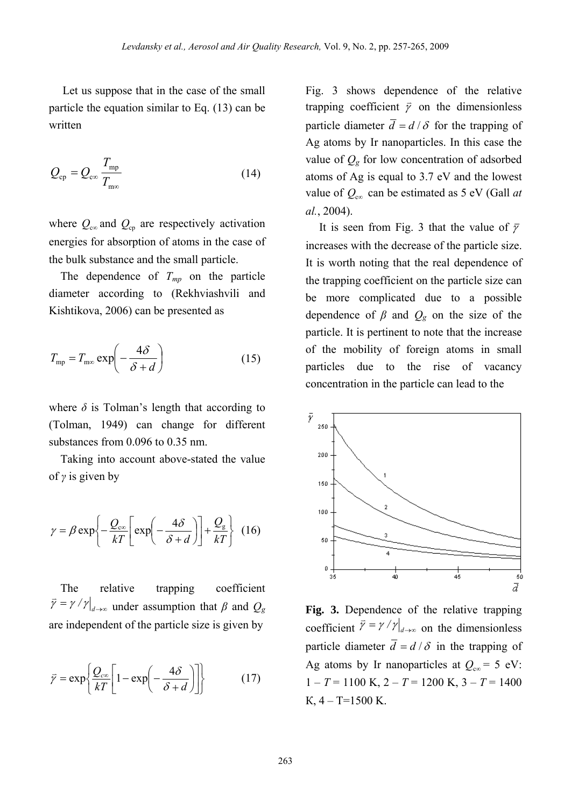Let us suppose that in the case of the small particle the equation similar to Eq.  $(13)$  can be written

$$
Q_{\rm cp} = Q_{\rm c\infty} \frac{T_{\rm mp}}{T_{\rm m\infty}}
$$
 (14)

where  $Q_{\text{co}}$  and  $Q_{\text{cp}}$  are respectively activation energies for absorption of atoms in the case of the bulk substan ce and the small particle.

The dependence of  $T_{mp}$  on the particle diameter according to (Rekhviashvili and Kishtikova, 2006) can be presented as

$$
T_{\rm mp} = T_{\rm m\infty} \exp\left(-\frac{4\delta}{\delta + d}\right) \tag{15}
$$

where  $\delta$  is Tolman's length that according to (Tolman, 1949) can change for different substances from 0.096 to 0.35 nm.

Taking into account a bove-stated the value of *γ* is given by

$$
\gamma = \beta \exp\left\{-\frac{Q_{\text{cm}}}{kT} \left[\exp\left(-\frac{4\delta}{\delta + d}\right)\right] + \frac{Q_{\text{g}}}{kT}\right\} (16)
$$

The relative trapping coefficient  $\overrightarrow{y} = \gamma / \gamma |_{d \to \infty}$  under assumption that  $\beta$  and  $Q_g$ are independent of the particle size is given by

$$
\vec{\gamma} = \exp\left\{\frac{Q_{\text{cos}}}{kT} \left[1 - \exp\left(-\frac{4\delta}{\delta + d}\right)\right]\right\} \tag{17}
$$

Fi g. 3 shows dependence of the relative trapping coefficient  $\vec{y}$  on the dimensionless particle diameter  $\overline{d} = d/\delta$  for the trapping of Ag atoms by Ir nanoparticles. In this case the value of  $Q_g$  for low concentration of adsorbed atoms of Ag is equal to 3.7 eV an d the lowest value of  $Q_{\infty}$  can be estimated as 5 eV (Gall *at al.*, 2004).

It is seen from Fig. 3 that the value of  $\bar{y}$ increases with the decrease of the particle size. It is worth noting that the real dependence of the trapping coefficient on the particle size can be more complicated due to a possible dependence of  $\beta$  and  $Q_g$  on the size of the particle. It is pertinent to note that the increase of the mobility of foreign atoms in small particles d ue to the rise of vacancy concentratio n in the particle can lead to the



**Fig. 3.** Dependence of the relative trapping coefficient  $\overline{\gamma} = \gamma / \gamma \big|_{d \to \infty}$  on the dimensionless particle diameter  $\overline{d} = d/\delta$  in the trapping of Ag atoms by Ir nanoparticles at  $Q_{\text{ce}} = 5 \text{ eV}$ :  $1 - T = 1100$  K,  $2 - T = 1200$  K,  $3 - T = 1400$  $K, 4 - T = 1500 K.$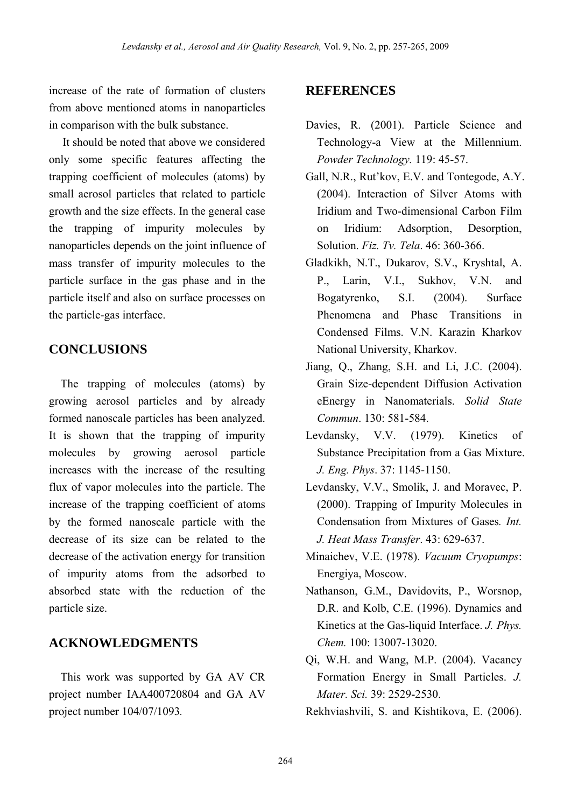increase of the rate of formation of clusters from above mentioned atoms in nanoparticles in comparison with the bulk substance.

It should be noted that above we considered only some specific features affecting the trapping coefficient of molecules (atoms) by small aerosol particles that related to particle growth and the size effects. In the general case the trapping of impurity molecules by nanoparticles depends on the joint influence of mass transfer of impurity molecules to the particle itself and also on surface processes on the particle-gas interface. particle surface in the gas phase and in the

## **CONCLUSIONS**

formed nanoscale particles has been analyzed. It is shown that the trapping of impurity The trapping of molecules (atoms) by growing aerosol particles and by already molecules by growing aerosol particle increases with the increase of the resulting flux of vapor molecules into the particle. The increase of the trapping coefficient of atoms by the formed nanoscale particle with the decrease of its size can be related to the decrease of the activation energy for transition of impurity atoms from the adsorbed to absorbed state with the reduction of the particle size.

#### **ACKNOWLEDGMENTS**

This work was supported by GA AV CR project number IAA400720804 and GA AV project number 104/07/1093*.*

### **REFERENCES**

- Davies, R. (2001). Particle Science and Technology-a View at the Millennium. *Powder Technology.* 119: 45-57.
- Gall, N.R., Rut'kov, Е.V. and Tontegode, А.Y. (2004). Interaction of Silver Atoms with Iridium and Two-dimensional Carbon Film on Iridium: Adsorption Desorption Solution. *Fiz. Tv. Tela*. 46: 360-366.
- Gladkikh, N.T., Dukarov, S.V., Kryshtal, A. P., Larin, V.I., Sukhov, V.N. and (2004). Surface Phenomena and Phase Transitions in Bogatyrenko, S.I. Condensed Films. V.N. Karazin Kharkov National University, Kharkov.
- Jiang, Q., Zhang, S.H. and Li, J.C. (2004). Grain Size-dependent Diffusion Activation eEnergy in Nanomaterials. *Solid State Commun*. 130: 581-584.
- Levdansky, V.V. (1979). Kinetics of Substance Precipitation from a Gas Mixture. *J. Eng. Phys*. 37: 1145-1150.
- Le vdansky, V.V., Smolik, J. and Moravec, P. (2000). Trapping of Impurity Molecules in Condensation from Mixtures of Gases*. Int. J. Heat Mass Transfer*. 43: 629-637.
- Minaichev, V.E. (1978). *Vacuum Cryopumps*: Energiya, Moscow.
- N athanson, G.M., Davidovits, P., Worsnop, D.R. and Kolb, C.E. (1996). Dynamics and Kinetics at the Gas-liquid Interface. *J. Phys. Chem.* 100: 13007-13020.
- Qi, W.H. and Wang, M.P. (2004). Vacancy Formation Energy in Small Particles. *J. Mater. Sci.* 39: 2529-2530.
- Rekhviashvili, S. and Kishtikova, E. (2006).